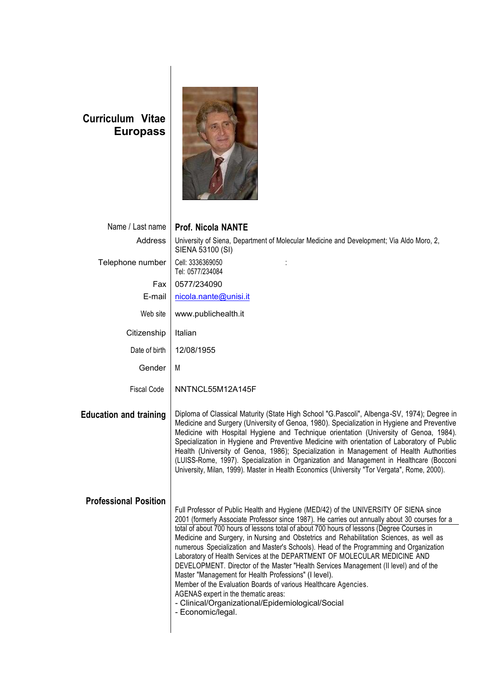## **Curriculum Vitae Europass**



| Name / Last name              | <b>Prof. Nicola NANTE</b>                                                                                                                                                                                                                                                                                                                                                                                                                                                                                                                                                                                                                                                                                                                                                                                                                                                                      |
|-------------------------------|------------------------------------------------------------------------------------------------------------------------------------------------------------------------------------------------------------------------------------------------------------------------------------------------------------------------------------------------------------------------------------------------------------------------------------------------------------------------------------------------------------------------------------------------------------------------------------------------------------------------------------------------------------------------------------------------------------------------------------------------------------------------------------------------------------------------------------------------------------------------------------------------|
| Address                       | University of Siena, Department of Molecular Medicine and Development; Via Aldo Moro, 2,<br>SIENA 53100 (SI)                                                                                                                                                                                                                                                                                                                                                                                                                                                                                                                                                                                                                                                                                                                                                                                   |
| Telephone number              | Cell: 3336369050<br>Tel: 0577/234084                                                                                                                                                                                                                                                                                                                                                                                                                                                                                                                                                                                                                                                                                                                                                                                                                                                           |
| Fax                           | 0577/234090                                                                                                                                                                                                                                                                                                                                                                                                                                                                                                                                                                                                                                                                                                                                                                                                                                                                                    |
| E-mail                        | nicola.nante@unisi.it                                                                                                                                                                                                                                                                                                                                                                                                                                                                                                                                                                                                                                                                                                                                                                                                                                                                          |
| Web site                      | www.publichealth.it                                                                                                                                                                                                                                                                                                                                                                                                                                                                                                                                                                                                                                                                                                                                                                                                                                                                            |
| Citizenship                   | Italian                                                                                                                                                                                                                                                                                                                                                                                                                                                                                                                                                                                                                                                                                                                                                                                                                                                                                        |
| Date of birth                 | 12/08/1955                                                                                                                                                                                                                                                                                                                                                                                                                                                                                                                                                                                                                                                                                                                                                                                                                                                                                     |
| Gender                        | М                                                                                                                                                                                                                                                                                                                                                                                                                                                                                                                                                                                                                                                                                                                                                                                                                                                                                              |
| <b>Fiscal Code</b>            | NNTNCL55M12A145F                                                                                                                                                                                                                                                                                                                                                                                                                                                                                                                                                                                                                                                                                                                                                                                                                                                                               |
| <b>Education and training</b> | Diploma of Classical Maturity (State High School "G.Pascoli", Albenga-SV, 1974); Degree in<br>Medicine and Surgery (University of Genoa, 1980). Specialization in Hygiene and Preventive<br>Medicine with Hospital Hygiene and Technique orientation (University of Genoa, 1984).<br>Specialization in Hygiene and Preventive Medicine with orientation of Laboratory of Public<br>Health (University of Genoa, 1986); Specialization in Management of Health Authorities<br>(LUISS-Rome, 1997). Specialization in Organization and Management in Healthcare (Bocconi<br>University, Milan, 1999). Master in Health Economics (University "Tor Vergata", Rome, 2000).                                                                                                                                                                                                                          |
| <b>Professional Position</b>  | Full Professor of Public Health and Hygiene (MED/42) of the UNIVERSITY OF SIENA since<br>2001 (formerly Associate Professor since 1987). He carries out annually about 30 courses for a<br>total of about 700 hours of lessons total of about 700 hours of lessons (Degree Courses in<br>Medicine and Surgery, in Nursing and Obstetrics and Rehabilitation Sciences, as well as<br>numerous Specialization and Master's Schools). Head of the Programming and Organization<br>Laboratory of Health Services at the DEPARTMENT OF MOLECULAR MEDICINE AND<br>DEVELOPMENT. Director of the Master "Health Services Management (II level) and of the<br>Master "Management for Health Professions" (I level).<br>Member of the Evaluation Boards of various Healthcare Agencies.<br>AGENAS expert in the thematic areas:<br>- Clinical/Organizational/Epidemiological/Social<br>- Economic/legal. |